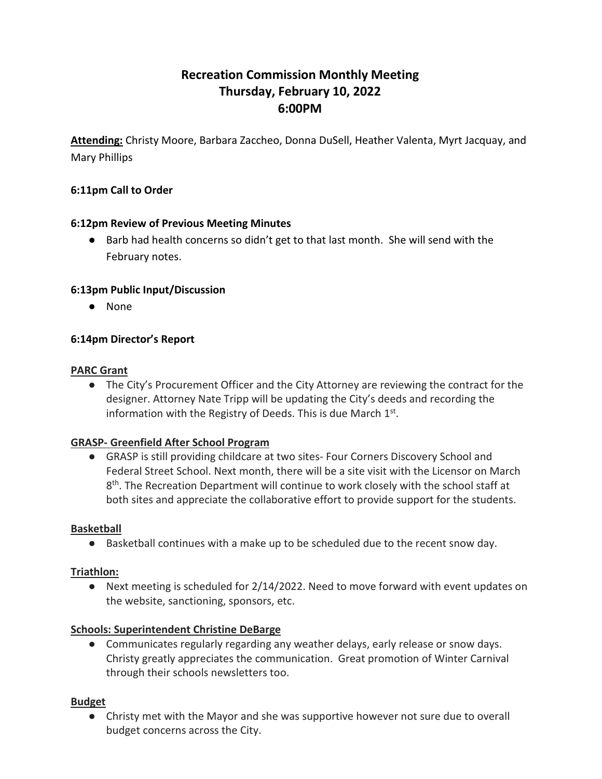# **Recreation Commission Monthly Meeting Thursday, February 10, 2022 6:00PM**

**Attending:** Christy Moore, Barbara Zaccheo, Donna DuSell, Heather Valenta, Myrt Jacquay, and Mary Phillips

## **6:11pm Call to Order**

#### **6:12pm Review of Previous Meeting Minutes**

● Barb had health concerns so didn't get to that last month. She will send with the February notes.

#### **6:13pm Public Input/Discussion**

● None

#### **6:14pm Director's Report**

#### **PARC Grant**

● The City's Procurement Officer and the City Attorney are reviewing the contract for the designer. Attorney Nate Tripp will be updating the City's deeds and recording the information with the Registry of Deeds. This is due March  $1<sup>st</sup>$ .

#### **GRASP- Greenfield After School Program**

● GRASP is still providing childcare at two sites- Four Corners Discovery School and Federal Street School. Next month, there will be a site visit with the Licensor on March  $8<sup>th</sup>$ . The Recreation Department will continue to work closely with the school staff at both sites and appreciate the collaborative effort to provide support for the students.

#### **Basketball**

● Basketball continues with a make up to be scheduled due to the recent snow day.

#### **Triathlon:**

● Next meeting is scheduled for 2/14/2022. Need to move forward with event updates on the website, sanctioning, sponsors, etc.

#### **Schools: Superintendent Christine DeBarge**

● Communicates regularly regarding any weather delays, early release or snow days. Christy greatly appreciates the communication. Great promotion of Winter Carnival through their schools newsletters too.

#### **Budget**

● Christy met with the Mayor and she was supportive however not sure due to overall budget concerns across the City.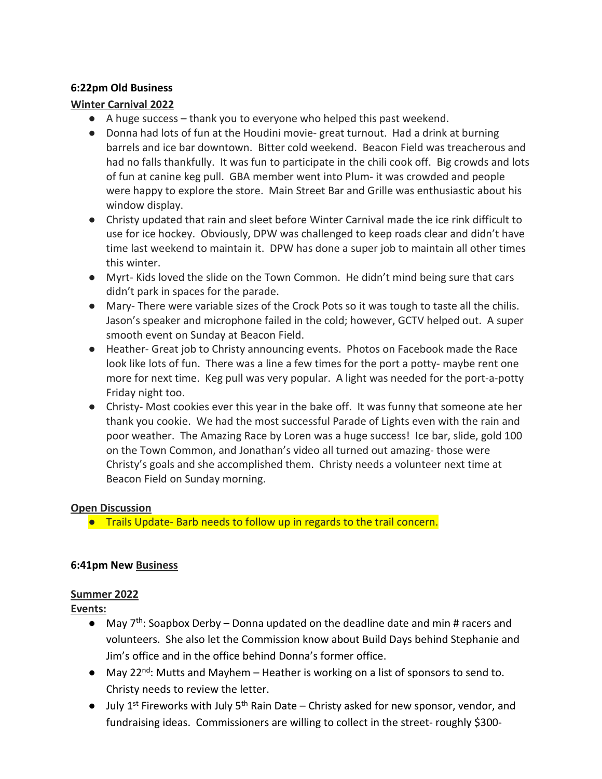## **6:22pm Old Business**

#### **Winter Carnival 2022**

- A huge success thank you to everyone who helped this past weekend.
- Donna had lots of fun at the Houdini movie- great turnout. Had a drink at burning barrels and ice bar downtown. Bitter cold weekend. Beacon Field was treacherous and had no falls thankfully. It was fun to participate in the chili cook off. Big crowds and lots of fun at canine keg pull. GBA member went into Plum- it was crowded and people were happy to explore the store. Main Street Bar and Grille was enthusiastic about his window display.
- Christy updated that rain and sleet before Winter Carnival made the ice rink difficult to use for ice hockey. Obviously, DPW was challenged to keep roads clear and didn't have time last weekend to maintain it. DPW has done a super job to maintain all other times this winter.
- Myrt- Kids loved the slide on the Town Common. He didn't mind being sure that cars didn't park in spaces for the parade.
- Mary- There were variable sizes of the Crock Pots so it was tough to taste all the chilis. Jason's speaker and microphone failed in the cold; however, GCTV helped out. A super smooth event on Sunday at Beacon Field.
- Heather- Great job to Christy announcing events. Photos on Facebook made the Race look like lots of fun. There was a line a few times for the port a potty- maybe rent one more for next time. Keg pull was very popular. A light was needed for the port-a-potty Friday night too.
- Christy- Most cookies ever this year in the bake off. It was funny that someone ate her thank you cookie. We had the most successful Parade of Lights even with the rain and poor weather. The Amazing Race by Loren was a huge success! Ice bar, slide, gold 100 on the Town Common, and Jonathan's video all turned out amazing- those were Christy's goals and she accomplished them. Christy needs a volunteer next time at Beacon Field on Sunday morning.

#### **Open Discussion**

● Trails Update- Barb needs to follow up in regards to the trail concern.

## **6:41pm New Business**

## **Summer 2022**

**Events:**

- $\bullet$  May 7<sup>th</sup>: Soapbox Derby Donna updated on the deadline date and min # racers and volunteers. She also let the Commission know about Build Days behind Stephanie and Jim's office and in the office behind Donna's former office.
- $\bullet$  May 22<sup>nd</sup>: Mutts and Mayhem Heather is working on a list of sponsors to send to. Christy needs to review the letter.
- $\bullet$  July 1<sup>st</sup> Fireworks with July 5<sup>th</sup> Rain Date Christy asked for new sponsor, vendor, and fundraising ideas. Commissioners are willing to collect in the street- roughly \$300-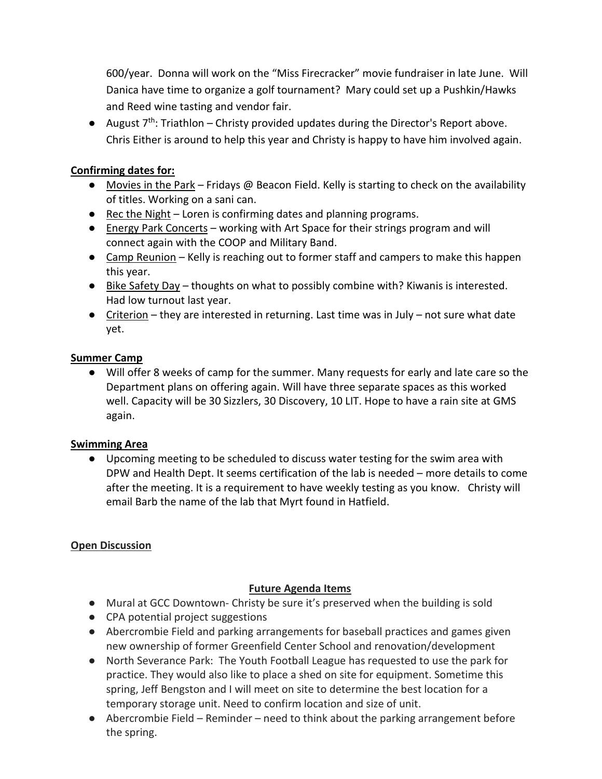600/year. Donna will work on the "Miss Firecracker" movie fundraiser in late June. Will Danica have time to organize a golf tournament? Mary could set up a Pushkin/Hawks and Reed wine tasting and vendor fair.

● August  $7<sup>th</sup>$ : Triathlon – Christy provided updates during the Director's Report above. Chris Either is around to help this year and Christy is happy to have him involved again.

## **Confirming dates for:**

- Movies in the Park Fridays @ Beacon Field. Kelly is starting to check on the availability of titles. Working on a sani can.
- Rec the Night Loren is confirming dates and planning programs.
- Energy Park Concerts working with Art Space for their strings program and will connect again with the COOP and Military Band.
- Camp Reunion Kelly is reaching out to former staff and campers to make this happen this year.
- Bike Safety Day thoughts on what to possibly combine with? Kiwanis is interested. Had low turnout last year.
- Criterion they are interested in returning. Last time was in July not sure what date yet.

## **Summer Camp**

● Will offer 8 weeks of camp for the summer. Many requests for early and late care so the Department plans on offering again. Will have three separate spaces as this worked well. Capacity will be 30 Sizzlers, 30 Discovery, 10 LIT. Hope to have a rain site at GMS again.

## **Swimming Area**

● Upcoming meeting to be scheduled to discuss water testing for the swim area with DPW and Health Dept. It seems certification of the lab is needed – more details to come after the meeting. It is a requirement to have weekly testing as you know. Christy will email Barb the name of the lab that Myrt found in Hatfield.

## **Open Discussion**

## **Future Agenda Items**

- Mural at GCC Downtown- Christy be sure it's preserved when the building is sold
- CPA potential project suggestions
- Abercrombie Field and parking arrangements for baseball practices and games given new ownership of former Greenfield Center School and renovation/development
- North Severance Park: The Youth Football League has requested to use the park for practice. They would also like to place a shed on site for equipment. Sometime this spring, Jeff Bengston and I will meet on site to determine the best location for a temporary storage unit. Need to confirm location and size of unit.
- Abercrombie Field Reminder need to think about the parking arrangement before the spring.